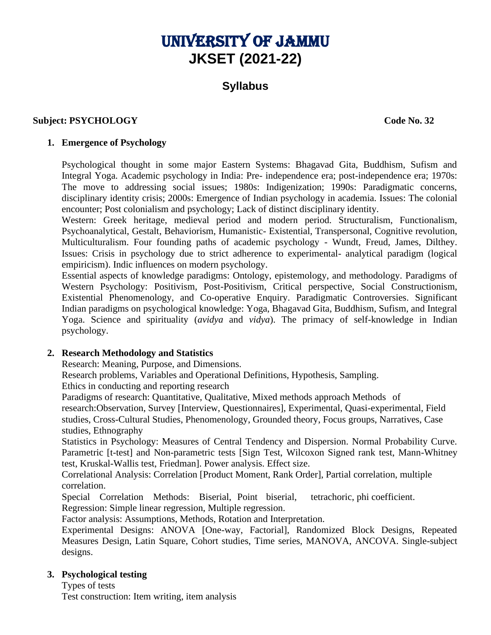# UNIVERSITY OF JAMMU **JKSET (2021-22)**

# **Syllabus**

# **Subject: PSYCHOLOGY Code No. 32**

#### **1. Emergence of Psychology**

Psychological thought in some major Eastern Systems: Bhagavad Gita, Buddhism, Sufism and Integral Yoga. Academic psychology in India: Pre- independence era; post-independence era; 1970s: The move to addressing social issues; 1980s: Indigenization; 1990s: Paradigmatic concerns, disciplinary identity crisis; 2000s: Emergence of Indian psychology in academia. Issues: The colonial encounter; Post colonialism and psychology; Lack of distinct disciplinary identity.

Western: Greek heritage, medieval period and modern period. Structuralism, Functionalism, Psychoanalytical, Gestalt, Behaviorism, Humanistic- Existential, Transpersonal, Cognitive revolution, Multiculturalism. Four founding paths of academic psychology - Wundt, Freud, James, Dilthey. Issues: Crisis in psychology due to strict adherence to experimental- analytical paradigm (logical empiricism). Indic influences on modern psychology.

Essential aspects of knowledge paradigms: Ontology, epistemology, and methodology. Paradigms of Western Psychology: Positivism, Post-Positivism, Critical perspective, Social Constructionism, Existential Phenomenology, and Co-operative Enquiry. Paradigmatic Controversies. Significant Indian paradigms on psychological knowledge: Yoga, Bhagavad Gita, Buddhism, Sufism, and Integral Yoga. Science and spirituality (*avidya* and *vidya*). The primacy of self-knowledge in Indian psychology.

# **2. Research Methodology and Statistics**

Research: Meaning, Purpose, and Dimensions.

Research problems, Variables and Operational Definitions, Hypothesis, Sampling.

Ethics in conducting and reporting research

Paradigms of research: Quantitative, Qualitative, Mixed methods approach Methods of research:Observation, Survey [Interview, Questionnaires], Experimental, Quasi-experimental, Field studies, Cross-Cultural Studies, Phenomenology, Grounded theory, Focus groups, Narratives, Case studies, Ethnography

Statistics in Psychology: Measures of Central Tendency and Dispersion. Normal Probability Curve. Parametric [t-test] and Non-parametric tests [Sign Test, Wilcoxon Signed rank test, Mann-Whitney test, Kruskal-Wallis test, Friedman]. Power analysis. Effect size.

Correlational Analysis: Correlation [Product Moment, Rank Order], Partial correlation, multiple correlation.

Special Correlation Methods: Biserial, Point biserial, tetrachoric, phi coefficient. Regression: Simple linear regression, Multiple regression.

Factor analysis: Assumptions, Methods, Rotation and Interpretation.

Experimental Designs: ANOVA [One-way, Factorial], Randomized Block Designs, Repeated Measures Design, Latin Square, Cohort studies, Time series, MANOVA, ANCOVA. Single-subject designs.

# **3. Psychological testing**

Types of tests Test construction: Item writing, item analysis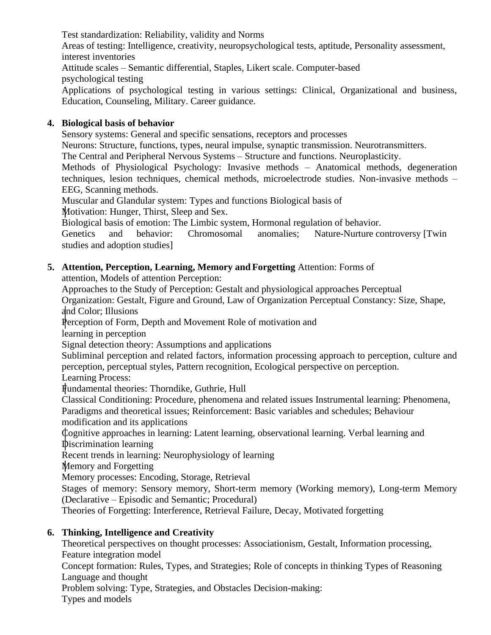Test standardization: Reliability, validity and Norms Areas of testing: Intelligence, creativity, neuropsychological tests, aptitude, Personality assessment, interest inventories Attitude scales – Semantic differential, Staples, Likert scale. Computer-based psychological testing Applications of psychological testing in various settings: Clinical, Organizational and business, Education, Counseling, Military. Career guidance.

#### **4. Biological basis of behavior**

Sensory systems: General and specific sensations, receptors and processes Neurons: Structure, functions, types, neural impulse, synaptic transmission. Neurotransmitters. The Central and Peripheral Nervous Systems – Structure and functions. Neuroplasticity. Methods of Physiological Psychology: Invasive methods – Anatomical methods, degeneration techniques, lesion techniques, chemical methods, microelectrode studies. Non-invasive methods – EEG, Scanning methods. Muscular and Glandular system: Types and functions Biological basis of Motivation: Hunger, Thirst, Sleep and Sex. Biological basis of emotion: The Limbic system, Hormonal regulation of behavior.

Genetics and behavior: Chromosomal anomalies; Nature-Nurture controversy [Twin studies and adoption studies]

**5. Attention, Perception, Learning, Memory and Forgetting** Attention: Forms of

attention, Models of attention Perception:

Approaches to the Study of Perception: Gestalt and physiological approaches Perceptual

Organization: Gestalt, Figure and Ground, Law of Organization Perceptual Constancy: Size, Shape, and Color; Illusions

Perception of Form, Depth and Movement Role of motivation and

learning in perception

Signal detection theory: Assumptions and applications

Subliminal perception and related factors, information processing approach to perception, culture and perception, perceptual styles, Pattern recognition, Ecological perspective on perception.

Learning Process:

Fundamental theories: Thorndike, Guthrie, Hull

Classical Conditioning: Procedure, phenomena and related issues Instrumental learning: Phenomena, Paradigms and theoretical issues; Reinforcement: Basic variables and schedules; Behaviour

modification and its applications

Cognitive approaches in learning: Latent learning, observational learning. Verbal learning and Discrimination learning

Recent trends in learning: Neurophysiology of learning

Memory and Forgetting

Memory processes: Encoding, Storage, Retrieval

Stages of memory: Sensory memory, Short-term memory (Working memory), Long-term Memory (Declarative – Episodic and Semantic; Procedural)

Theories of Forgetting: Interference, Retrieval Failure, Decay, Motivated forgetting

# **6. Thinking, Intelligence and Creativity**

Theoretical perspectives on thought processes: Associationism, Gestalt, Information processing, Feature integration model

Concept formation: Rules, Types, and Strategies; Role of concepts in thinking Types of Reasoning Language and thought

Problem solving: Type, Strategies, and Obstacles Decision-making:

Types and models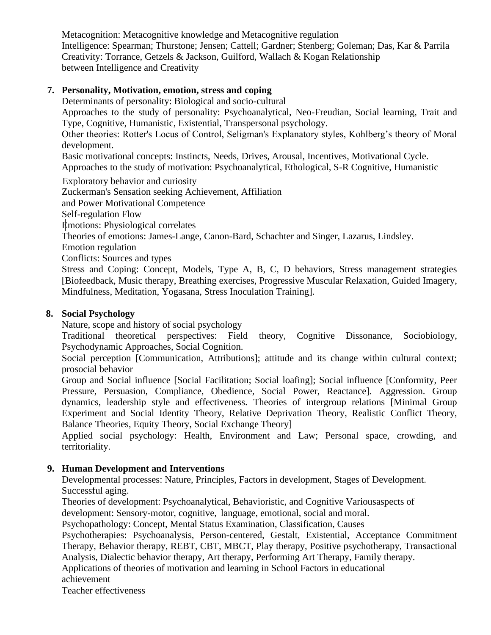Metacognition: Metacognitive knowledge and Metacognitive regulation Intelligence: Spearman; Thurstone; Jensen; Cattell; Gardner; Stenberg; Goleman; Das, Kar & Parrila Creativity: Torrance, Getzels & Jackson, Guilford, Wallach & Kogan Relationship between Intelligence and Creativity

# **7. Personality, Motivation, emotion, stress and coping**

Determinants of personality: Biological and socio-cultural

Approaches to the study of personality: Psychoanalytical, Neo-Freudian, Social learning, Trait and Type, Cognitive, Humanistic, Existential, Transpersonal psychology.

Other theories: Rotter's Locus of Control, Seligman's Explanatory styles, Kohlberg's theory of Moral development.

Basic motivational concepts: Instincts, Needs, Drives, Arousal, Incentives, Motivational Cycle. Approaches to the study of motivation: Psychoanalytical, Ethological, S-R Cognitive, Humanistic

Exploratory behavior and curiosity

Zuckerman's Sensation seeking Achievement, Affiliation

and Power Motivational Competence

Self-regulation Flow

Emotions: Physiological correlates

Theories of emotions: James-Lange, Canon-Bard, Schachter and Singer, Lazarus, Lindsley.

Emotion regulation

Conflicts: Sources and types

Stress and Coping: Concept, Models, Type A, B, C, D behaviors, Stress management strategies [Biofeedback, Music therapy, Breathing exercises, Progressive Muscular Relaxation, Guided Imagery, Mindfulness, Meditation, Yogasana, Stress Inoculation Training].

#### **8. Social Psychology**

Nature, scope and history of social psychology

Traditional theoretical perspectives: Field theory, Cognitive Dissonance, Sociobiology, Psychodynamic Approaches, Social Cognition.

Social perception [Communication, Attributions]; attitude and its change within cultural context; prosocial behavior

Group and Social influence [Social Facilitation; Social loafing]; Social influence [Conformity, Peer Pressure, Persuasion, Compliance, Obedience, Social Power, Reactance]. Aggression. Group dynamics, leadership style and effectiveness. Theories of intergroup relations [Minimal Group Experiment and Social Identity Theory, Relative Deprivation Theory, Realistic Conflict Theory, Balance Theories, Equity Theory, Social Exchange Theory]

Applied social psychology: Health, Environment and Law; Personal space, crowding, and territoriality.

#### **9. Human Development and Interventions**

Developmental processes: Nature, Principles, Factors in development, Stages of Development. Successful aging.

Theories of development: Psychoanalytical, Behavioristic, and Cognitive Variousaspects of

development: Sensory-motor, cognitive, language, emotional, social and moral.

Psychopathology: Concept, Mental Status Examination, Classification, Causes

Psychotherapies: Psychoanalysis, Person-centered, Gestalt, Existential, Acceptance Commitment Therapy, Behavior therapy, REBT, CBT, MBCT, Play therapy, Positive psychotherapy, Transactional Analysis, Dialectic behavior therapy, Art therapy, Performing Art Therapy, Family therapy.

Applications of theories of motivation and learning in School Factors in educational

achievement

Teacher effectiveness